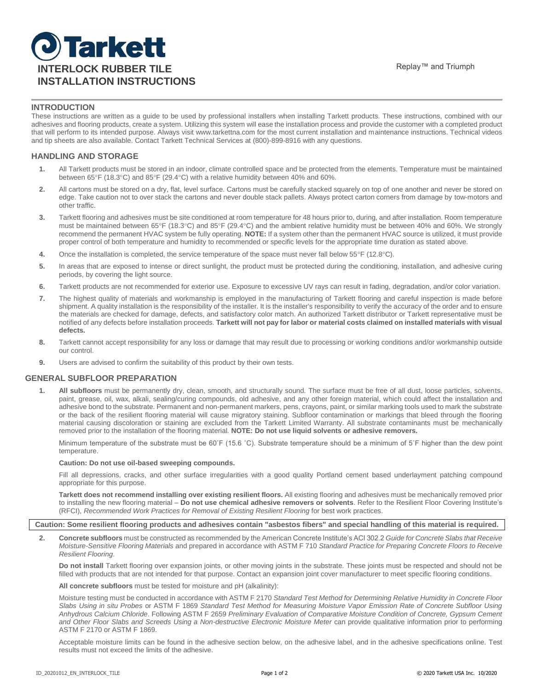# **J**Tarkett **INTERLOCK RUBBER TILE INTERLOCK RUBBER TILE INSTALLATION INSTRUCTIONS**

#### **INTRODUCTION**

These instructions are written as a guide to be used by professional installers when installing Tarkett products. These instructions, combined with our adhesives and flooring products, create a system. Utilizing this system will ease the installation process and provide the customer with a completed product that will perform to its intended purpose. Always visit www.tarkettna.com for the most current installation and maintenance instructions. Technical videos and tip sheets are also available. Contact Tarkett Technical Services at (800)-899-8916 with any questions.

#### **HANDLING AND STORAGE**

- **1.** All Tarkett products must be stored in an indoor, climate controlled space and be protected from the elements. Temperature must be maintained between 65°F (18.3°C) and 85°F (29.4°C) with a relative humidity between 40% and 60%.
- **2.** All cartons must be stored on a dry, flat, level surface. Cartons must be carefully stacked squarely on top of one another and never be stored on edge. Take caution not to over stack the cartons and never double stack pallets. Always protect carton corners from damage by tow-motors and other traffic.
- **3.** Tarkett flooring and adhesives must be site conditioned at room temperature for 48 hours prior to, during, and after installation. Room temperature must be maintained between 65°F (18.3°C) and 85°F (29.4°C) and the ambient relative humidity must be between 40% and 60%. We strongly recommend the permanent HVAC system be fully operating. **NOTE:** If a system other than the permanent HVAC source is utilized, it must provide proper control of both temperature and humidity to recommended or specific levels for the appropriate time duration as stated above.
- **4.** Once the installation is completed, the service temperature of the space must never fall below 55°F (12.8°C).
- **5.** In areas that are exposed to intense or direct sunlight, the product must be protected during the conditioning, installation, and adhesive curing periods, by covering the light source.
- **6.** Tarkett products are not recommended for exterior use. Exposure to excessive UV rays can result in fading, degradation, and/or color variation.
- **7.** The highest quality of materials and workmanship is employed in the manufacturing of Tarkett flooring and careful inspection is made before shipment. A quality installation is the responsibility of the installer. It is the installer's responsibility to verify the accuracy of the order and to ensure the materials are checked for damage, defects, and satisfactory color match. An authorized Tarkett distributor or Tarkett representative must be notified of any defects before installation proceeds. **Tarkett will not pay for labor or material costs claimed on installed materials with visual defects.**
- **8.** Tarkett cannot accept responsibility for any loss or damage that may result due to processing or working conditions and/or workmanship outside our control.
- **9.** Users are advised to confirm the suitability of this product by their own tests.

#### **GENERAL SUBFLOOR PREPARATION**

**1. All subfloors** must be permanently dry, clean, smooth, and structurally sound. The surface must be free of all dust, loose particles, solvents, paint, grease, oil, wax, alkali, sealing/curing compounds, old adhesive, and any other foreign material, which could affect the installation and adhesive bond to the substrate. Permanent and non-permanent markers, pens, crayons, paint, or similar marking tools used to mark the substrate or the back of the resilient flooring material will cause migratory staining. Subfloor contamination or markings that bleed through the flooring material causing discoloration or staining are excluded from the Tarkett Limited Warranty. All substrate contaminants must be mechanically removed prior to the installation of the flooring material. **NOTE: Do not use liquid solvents or adhesive removers.**

Minimum temperature of the substrate must be 60°F (15.6 °C). Substrate temperature should be a minimum of 5°F higher than the dew point temperature.

#### **Caution: Do not use oil-based sweeping compounds.**

Fill all depressions, cracks, and other surface irregularities with a good quality Portland cement based underlayment patching compound appropriate for this purpose.

**Tarkett does not recommend installing over existing resilient floors.** All existing flooring and adhesives must be mechanically removed prior to installing the new flooring material – **Do not use chemical adhesive removers or solvents**. Refer to the Resilient Floor Covering Institute's (RFCI), *Recommended Work Practices for Removal of Existing Resilient Flooring* for best work practices.

#### **Caution: Some resilient flooring products and adhesives contain "asbestos fibers" and special handling of this material is required.**

**2. Concrete subfloors** must be constructed as recommended by the American Concrete Institute's ACI 302.2 *Guide for Concrete Slabs that Receive Moisture-Sensitive Flooring Materials* and prepared in accordance with ASTM F 710 *Standard Practice for Preparing Concrete Floors to Receive Resilient Flooring*.

**Do not install** Tarkett flooring over expansion joints, or other moving joints in the substrate. These joints must be respected and should not be filled with products that are not intended for that purpose. Contact an expansion joint cover manufacturer to meet specific flooring conditions.

**All concrete subfloors** must be tested for moisture and pH (alkalinity):

Moisture testing must be conducted in accordance with ASTM F 2170 *Standard Test Method for Determining Relative Humidity in Concrete Floor Slabs Using in situ Probes* or ASTM F 1869 *Standard Test Method for Measuring Moisture Vapor Emission Rate of Concrete Subfloor Using Anhydrous Calcium Chloride*. Following ASTM F 2659 *Preliminary Evaluation of Comparative Moisture Condition of Concrete, Gypsum Cement and Other Floor Slabs and Screeds Using a Non-destructive Electronic Moisture Meter* can provide qualitative information prior to performing ASTM F 2170 or ASTM F 1869.

Acceptable moisture limits can be found in the adhesive section below, on the adhesive label, and in the adhesive specifications online. Test results must not exceed the limits of the adhesive.